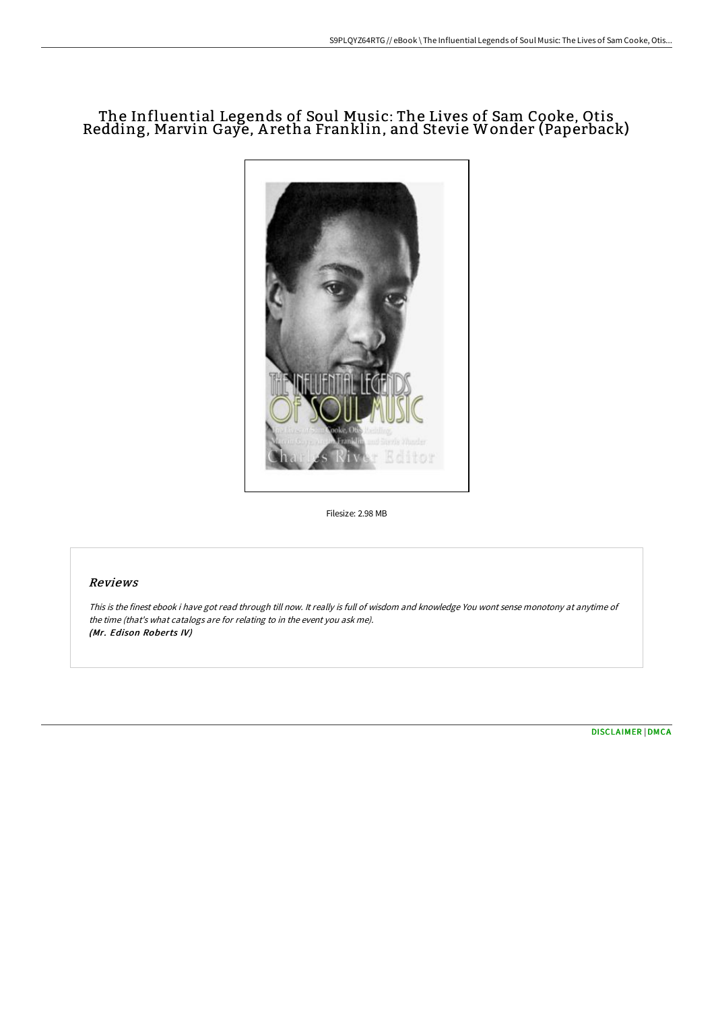# The Influential Legends of Soul Music: The Lives of Sam Cooke, Otis Redding, Marvin Gaye, A retha Franklin, and Stevie Wonder (Paperback)



Filesize: 2.98 MB

## Reviews

This is the finest ebook i have got read through till now. It really is full of wisdom and knowledge You wont sense monotony at anytime of the time (that's what catalogs are for relating to in the event you ask me). (Mr. Edison Roberts IV)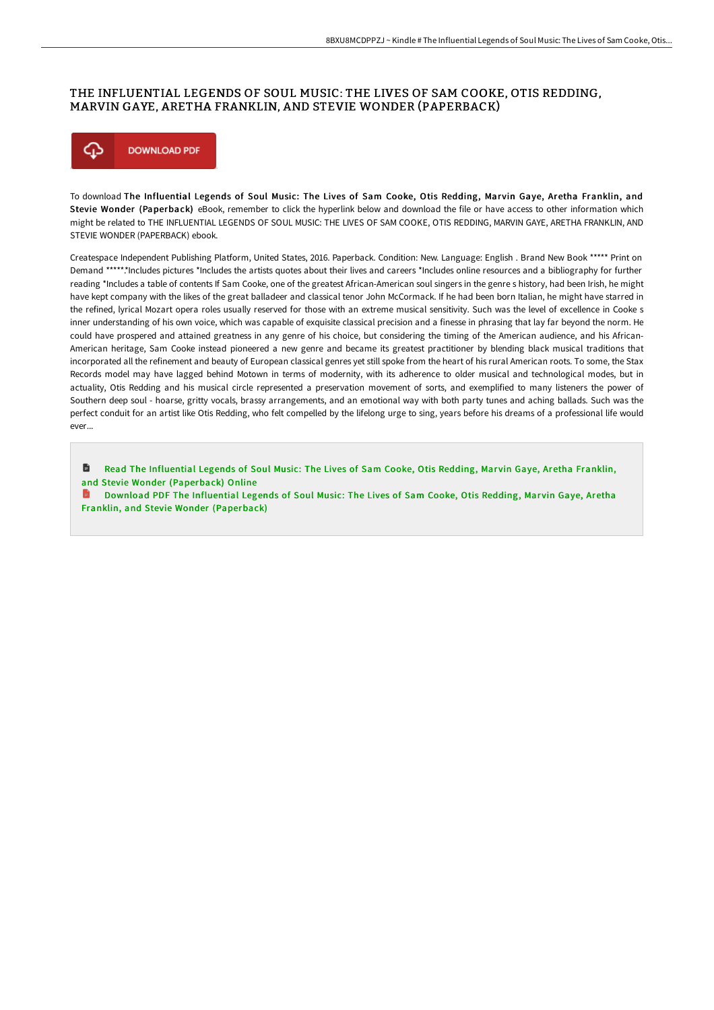## THE INFLUENTIAL LEGENDS OF SOUL MUSIC: THE LIVES OF SAM COOKE, OTIS REDDING, MARVIN GAYE, ARETHA FRANKLIN, AND STEVIE WONDER (PAPERBACK)



To download The Influential Legends of Soul Music: The Lives of Sam Cooke, Otis Redding, Marvin Gaye, Aretha Franklin, and Stevie Wonder (Paperback) eBook, remember to click the hyperlink below and download the file or have access to other information which might be related to THE INFLUENTIAL LEGENDS OF SOUL MUSIC: THE LIVES OF SAM COOKE, OTIS REDDING, MARVIN GAYE, ARETHA FRANKLIN, AND STEVIE WONDER (PAPERBACK) ebook.

Createspace Independent Publishing Platform, United States, 2016. Paperback. Condition: New. Language: English . Brand New Book \*\*\*\*\* Print on Demand \*\*\*\*\*.\*Includes pictures \*Includes the artists quotes about their lives and careers \*Includes online resources and a bibliography for further reading \*Includes a table of contents If Sam Cooke, one of the greatest African-American soul singers in the genre s history, had been Irish, he might have kept company with the likes of the great balladeer and classical tenor John McCormack. If he had been born Italian, he might have starred in the refined, lyrical Mozart opera roles usually reserved for those with an extreme musical sensitivity. Such was the level of excellence in Cooke s inner understanding of his own voice, which was capable of exquisite classical precision and a finesse in phrasing that lay far beyond the norm. He could have prospered and attained greatness in any genre of his choice, but considering the timing of the American audience, and his African-American heritage, Sam Cooke instead pioneered a new genre and became its greatest practitioner by blending black musical traditions that incorporated all the refinement and beauty of European classical genres yet still spoke from the heart of his rural American roots. To some, the Stax Records model may have lagged behind Motown in terms of modernity, with its adherence to older musical and technological modes, but in actuality, Otis Redding and his musical circle represented a preservation movement of sorts, and exemplified to many listeners the power of Southern deep soul - hoarse, gritty vocals, brassy arrangements, and an emotional way with both party tunes and aching ballads. Such was the perfect conduit for an artist like Otis Redding, who felt compelled by the lifelong urge to sing, years before his dreams of a professional life would ever...

Read The Influential Legends of Soul Music: The Lives of Sam Cooke, Otis Redding, Marvin Gaye, Aretha Franklin, and Stevie Wonder [\(Paperback\)](http://www.bookdirs.com/the-influential-legends-of-soul-music-the-lives-.html) Online

Download PDF The Influential Legends of Soul Music: The Lives of Sam Cooke, Otis Redding, Marvin Gaye, Aretha Franklin, and Stevie Wonder [\(Paperback\)](http://www.bookdirs.com/the-influential-legends-of-soul-music-the-lives-.html)